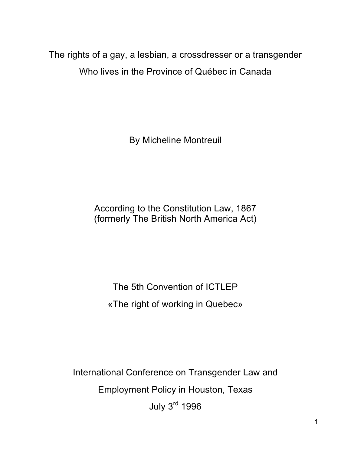The rights of a gay, a lesbian, a crossdresser or a transgender Who lives in the Province of Québec in Canada

By Micheline Montreuil

According to the Constitution Law, 1867 (formerly The British North America Act)

The 5th Convention of ICTLEP «The right of working in Quebec»

International Conference on Transgender Law and Employment Policy in Houston, Texas July 3rd 1996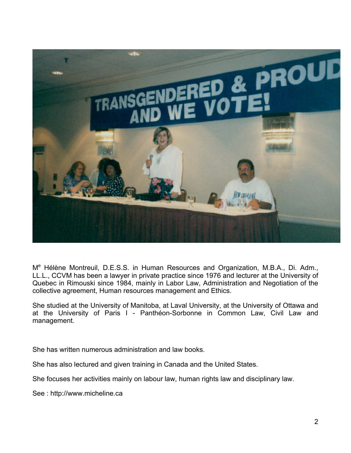

M<sup>e</sup> Hélène Montreuil, D.E.S.S. in Human Resources and Organization, M.B.A., Di. Adm., LL.L., CCVM has been a lawyer in private practice since 1976 and lecturer at the University of Quebec in Rimouski since 1984, mainly in Labor Law, Administration and Negotiation of the collective agreement, Human resources management and Ethics.

She studied at the University of Manitoba, at Laval University, at the University of Ottawa and at the University of Paris I - Panthéon-Sorbonne in Common Law, Civil Law and management.

She has written numerous administration and law books.

She has also lectured and given training in Canada and the United States.

She focuses her activities mainly on labour law, human rights law and disciplinary law.

See : http://www.micheline.ca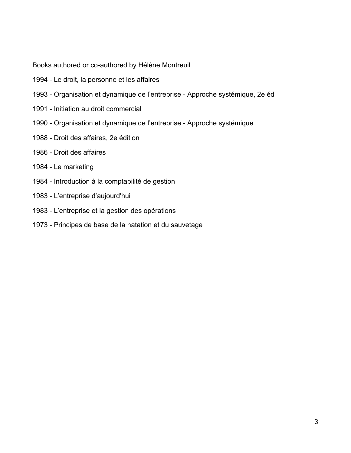Books authored or co-authored by Hélène Montreuil

- 1994 Le droit, la personne et les affaires
- 1993 Organisation et dynamique de l'entreprise Approche systémique, 2e éd
- 1991 Initiation au droit commercial
- 1990 Organisation et dynamique de l'entreprise Approche systémique
- 1988 Droit des affaires, 2e édition
- 1986 Droit des affaires
- 1984 Le marketing
- 1984 Introduction à la comptabilité de gestion
- 1983 L'entreprise d'aujourd'hui
- 1983 L'entreprise et la gestion des opérations
- 1973 Principes de base de la natation et du sauvetage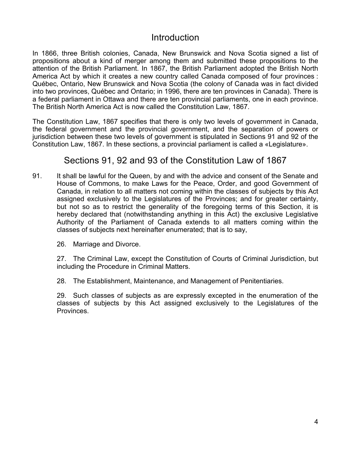### **Introduction**

In 1866, three British colonies, Canada, New Brunswick and Nova Scotia signed a list of propositions about a kind of merger among them and submitted these propositions to the attention of the British Parliament. In 1867, the British Parliament adopted the British North America Act by which it creates a new country called Canada composed of four provinces : Québec, Ontario, New Brunswick and Nova Scotia (the colony of Canada was in fact divided into two provinces, Québec and Ontario; in 1996, there are ten provinces in Canada). There is a federal parliament in Ottawa and there are ten provincial parliaments, one in each province. The British North America Act is now called the Constitution Law, 1867.

The Constitution Law, 1867 specifies that there is only two levels of government in Canada, the federal government and the provincial government, and the separation of powers or jurisdiction between these two levels of government is stipulated in Sections 91 and 92 of the Constitution Law, 1867. In these sections, a provincial parliament is called a «Legislature».

### Sections 91, 92 and 93 of the Constitution Law of 1867

- 91. It shall be lawful for the Queen, by and with the advice and consent of the Senate and House of Commons, to make Laws for the Peace, Order, and good Government of Canada, in relation to all matters not coming within the classes of subjects by this Act assigned exclusively to the Legislatures of the Provinces; and for greater certainty, but not so as to restrict the generality of the foregoing terms of this Section, it is hereby declared that (notwithstanding anything in this Act) the exclusive Legislative Authority of the Parliament of Canada extends to all matters coming within the classes of subjects next hereinafter enumerated; that is to say,
	- 26. Marriage and Divorce.

27. The Criminal Law, except the Constitution of Courts of Criminal Jurisdiction, but including the Procedure in Criminal Matters.

28. The Establishment, Maintenance, and Management of Penitentiaries.

29. Such classes of subjects as are expressly excepted in the enumeration of the classes of subjects by this Act assigned exclusively to the Legislatures of the Provinces.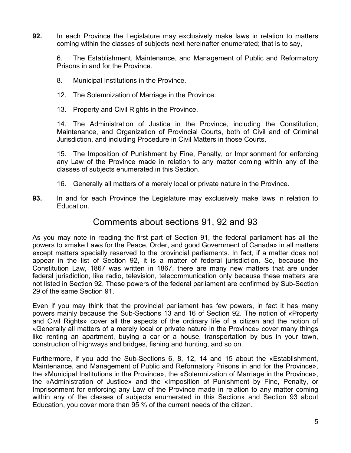**92.** In each Province the Legislature may exclusively make laws in relation to matters coming within the classes of subjects next hereinafter enumerated; that is to say,

6. The Establishment, Maintenance, and Management of Public and Reformatory Prisons in and for the Province.

- 8. Municipal Institutions in the Province.
- 12. The Solemnization of Marriage in the Province.
- 13. Property and Civil Rights in the Province.

14. The Administration of Justice in the Province, including the Constitution, Maintenance, and Organization of Provincial Courts, both of Civil and of Criminal Jurisdiction, and including Procedure in Civil Matters in those Courts.

15. The Imposition of Punishment by Fine, Penalty, or Imprisonment for enforcing any Law of the Province made in relation to any matter coming within any of the classes of subjects enumerated in this Section.

- 16. Generally all matters of a merely local or private nature in the Province.
- **93.** In and for each Province the Legislature may exclusively make laws in relation to Education.

### Comments about sections 91, 92 and 93

As you may note in reading the first part of Section 91, the federal parliament has all the powers to «make Laws for the Peace, Order, and good Government of Canada» in all matters except matters specially reserved to the provincial parliaments. In fact, if a matter does not appear in the list of Section 92, it is a matter of federal jurisdiction. So, because the Constitution Law, 1867 was written in 1867, there are many new matters that are under federal jurisdiction, like radio, television, telecommunication only because these matters are not listed in Section 92. These powers of the federal parliament are confirmed by Sub-Section 29 of the same Section 91.

Even if you may think that the provincial parliament has few powers, in fact it has many powers mainly because the Sub-Sections 13 and 16 of Section 92. The notion of «Property and Civil Rights» cover all the aspects of the ordinary life of a citizen and the notion of «Generally all matters of a merely local or private nature in the Province» cover many things like renting an apartment, buying a car or a house, transportation by bus in your town, construction of highways and bridges, fishing and hunting, and so on.

Furthermore, if you add the Sub-Sections 6, 8, 12, 14 and 15 about the «Establishment, Maintenance, and Management of Public and Reformatory Prisons in and for the Province», the «Municipal Institutions in the Province», the «Solemnization of Marriage in the Province», the «Administration of Justice» and the «Imposition of Punishment by Fine, Penalty, or Imprisonment for enforcing any Law of the Province made in relation to any matter coming within any of the classes of subjects enumerated in this Section» and Section 93 about Education, you cover more than 95 % of the current needs of the citizen.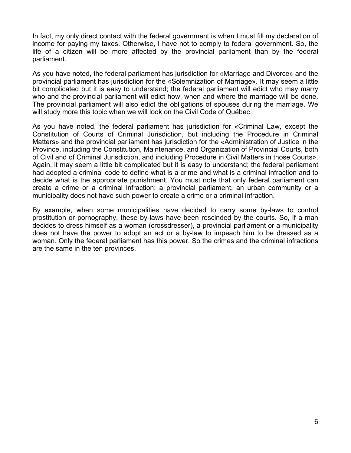In fact, my only direct contact with the federal government is when I must fill my declaration of income for paying my taxes. Otherwise, I have not to comply to federal government. So, the life of a citizen will be more affected by the provincial parliament than by the federal parliament.

As you have noted, the federal parliament has jurisdiction for «Marriage and Divorce» and the provincial parliament has jurisdiction for the «Solemnization of Marriage». It may seem a little bit complicated but it is easy to understand; the federal parliament will edict who may marry who and the provincial parliament will edict how, when and where the marriage will be done. The provincial parliament will also edict the obligations of spouses during the marriage. We will study more this topic when we will look on the Civil Code of Québec.

As you have noted, the federal parliament has jurisdiction for «Criminal Law, except the Constitution of Courts of Criminal Jurisdiction, but including the Procedure in Criminal Matters» and the provincial parliament has jurisdiction for the «Administration of Justice in the Province, including the Constitution, Maintenance, and Organization of Provincial Courts, both of Civil and of Criminal Jurisdiction, and including Procedure in Civil Matters in those Courts». Again, it may seem a little bit complicated but it is easy to understand; the federal parliament had adopted a criminal code to define what is a crime and what is a criminal infraction and to decide what is the appropriate punishment. You must note that only federal parliament can create a crime or a criminal infraction; a provincial parliament, an urban community or a municipality does not have such power to create a crime or a criminal infraction.

By example, when some municipalities have decided to carry some by-laws to control prostitution or pornography, these by-laws have been rescinded by the courts. So, if a man decides to dress himself as a woman (crossdresser), a provincial parliament or a municipality does not have the power to adopt an act or a by-law to impeach him to be dressed as a woman. Only the federal parliament has this power. So the crimes and the criminal infractions are the same in the ten provinces.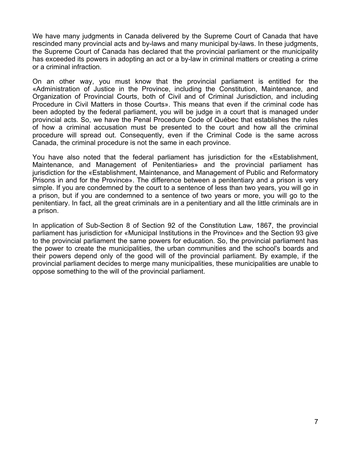We have many judgments in Canada delivered by the Supreme Court of Canada that have rescinded many provincial acts and by-laws and many municipal by-laws. In these judgments, the Supreme Court of Canada has declared that the provincial parliament or the municipality has exceeded its powers in adopting an act or a by-law in criminal matters or creating a crime or a criminal infraction.

On an other way, you must know that the provincial parliament is entitled for the «Administration of Justice in the Province, including the Constitution, Maintenance, and Organization of Provincial Courts, both of Civil and of Criminal Jurisdiction, and including Procedure in Civil Matters in those Courts». This means that even if the criminal code has been adopted by the federal parliament, you will be judge in a court that is managed under provincial acts. So, we have the Penal Procedure Code of Québec that establishes the rules of how a criminal accusation must be presented to the court and how all the criminal procedure will spread out. Consequently, even if the Criminal Code is the same across Canada, the criminal procedure is not the same in each province.

You have also noted that the federal parliament has jurisdiction for the «Establishment, Maintenance, and Management of Penitentiaries» and the provincial parliament has jurisdiction for the «Establishment, Maintenance, and Management of Public and Reformatory Prisons in and for the Province». The difference between a penitentiary and a prison is very simple. If you are condemned by the court to a sentence of less than two years, you will go in a prison, but if you are condemned to a sentence of two years or more, you will go to the penitentiary. In fact, all the great criminals are in a penitentiary and all the little criminals are in a prison.

In application of Sub-Section 8 of Section 92 of the Constitution Law, 1867, the provincial parliament has jurisdiction for «Municipal Institutions in the Province» and the Section 93 give to the provincial parliament the same powers for education. So, the provincial parliament has the power to create the municipalities, the urban communities and the school's boards and their powers depend only of the good will of the provincial parliament. By example, if the provincial parliament decides to merge many municipalities, these municipalities are unable to oppose something to the will of the provincial parliament.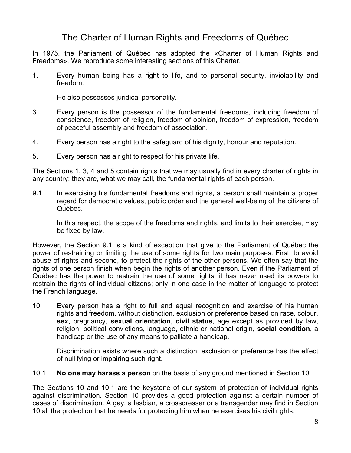# The Charter of Human Rights and Freedoms of Québec

In 1975, the Parliament of Québec has adopted the «Charter of Human Rights and Freedoms». We reproduce some interesting sections of this Charter.

1. Every human being has a right to life, and to personal security, inviolability and freedom.

He also possesses juridical personality.

- 3. Every person is the possessor of the fundamental freedoms, including freedom of conscience, freedom of religion, freedom of opinion, freedom of expression, freedom of peaceful assembly and freedom of association.
- 4. Every person has a right to the safeguard of his dignity, honour and reputation.
- 5. Every person has a right to respect for his private life.

The Sections 1, 3, 4 and 5 contain rights that we may usually find in every charter of rights in any country; they are, what we may call, the fundamental rights of each person.

9.1 In exercising his fundamental freedoms and rights, a person shall maintain a proper regard for democratic values, public order and the general well-being of the citizens of Québec.

In this respect, the scope of the freedoms and rights, and limits to their exercise, may be fixed by law.

However, the Section 9.1 is a kind of exception that give to the Parliament of Québec the power of restraining or limiting the use of some rights for two main purposes. First, to avoid abuse of rights and second, to protect the rights of the other persons. We often say that the rights of one person finish when begin the rights of another person. Even if the Parliament of Québec has the power to restrain the use of some rights, it has never used its powers to restrain the rights of individual citizens; only in one case in the matter of language to protect the French language.

10 Every person has a right to full and equal recognition and exercise of his human rights and freedom, without distinction, exclusion or preference based on race, colour, **sex**, pregnancy, **sexual orientation**, **civil status**, age except as provided by law, religion, political convictions, language, ethnic or national origin, **social condition**, a handicap or the use of any means to palliate a handicap.

Discrimination exists where such a distinction, exclusion or preference has the effect of nullifying or impairing such right.

10.1 **No one may harass a person** on the basis of any ground mentioned in Section 10.

The Sections 10 and 10.1 are the keystone of our system of protection of individual rights against discrimination. Section 10 provides a good protection against a certain number of cases of discrimination. A gay, a lesbian, a crossdresser or a transgender may find in Section 10 all the protection that he needs for protecting him when he exercises his civil rights.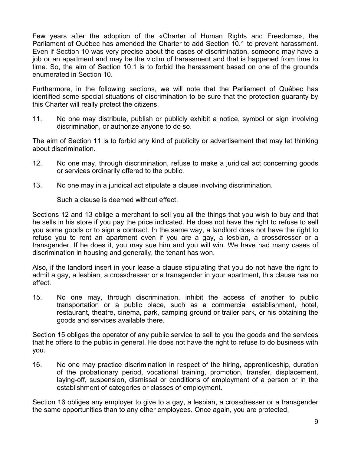Few years after the adoption of the «Charter of Human Rights and Freedoms», the Parliament of Québec has amended the Charter to add Section 10.1 to prevent harassment. Even if Section 10 was very precise about the cases of discrimination, someone may have a job or an apartment and may be the victim of harassment and that is happened from time to time. So, the aim of Section 10.1 is to forbid the harassment based on one of the grounds enumerated in Section 10.

Furthermore, in the following sections, we will note that the Parliament of Québec has identified some special situations of discrimination to be sure that the protection guaranty by this Charter will really protect the citizens.

11. No one may distribute, publish or publicly exhibit a notice, symbol or sign involving discrimination, or authorize anyone to do so.

The aim of Section 11 is to forbid any kind of publicity or advertisement that may let thinking about discrimination.

- 12. No one may, through discrimination, refuse to make a juridical act concerning goods or services ordinarily offered to the public.
- 13. No one may in a juridical act stipulate a clause involving discrimination.

Such a clause is deemed without effect.

Sections 12 and 13 oblige a merchant to sell you all the things that you wish to buy and that he sells in his store if you pay the price indicated. He does not have the right to refuse to sell you some goods or to sign a contract. In the same way, a landlord does not have the right to refuse you to rent an apartment even if you are a gay, a lesbian, a crossdresser or a transgender. If he does it, you may sue him and you will win. We have had many cases of discrimination in housing and generally, the tenant has won.

Also, if the landlord insert in your lease a clause stipulating that you do not have the right to admit a gay, a lesbian, a crossdresser or a transgender in your apartment, this clause has no effect.

15. No one may, through discrimination, inhibit the access of another to public transportation or a public place, such as a commercial establishment, hotel, restaurant, theatre, cinema, park, camping ground or trailer park, or his obtaining the goods and services available there.

Section 15 obliges the operator of any public service to sell to you the goods and the services that he offers to the public in general. He does not have the right to refuse to do business with you.

16. No one may practice discrimination in respect of the hiring, apprenticeship, duration of the probationary period, vocational training, promotion, transfer, displacement, laying-off, suspension, dismissal or conditions of employment of a person or in the establishment of categories or classes of employment.

Section 16 obliges any employer to give to a gay, a lesbian, a crossdresser or a transgender the same opportunities than to any other employees. Once again, you are protected.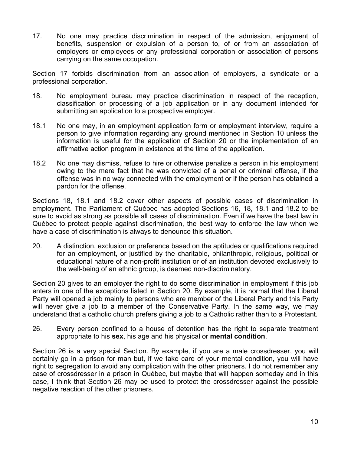17. No one may practice discrimination in respect of the admission, enjoyment of benefits, suspension or expulsion of a person to, of or from an association of employers or employees or any professional corporation or association of persons carrying on the same occupation.

Section 17 forbids discrimination from an association of employers, a syndicate or a professional corporation.

- 18. No employment bureau may practice discrimination in respect of the reception, classification or processing of a job application or in any document intended for submitting an application to a prospective employer.
- 18.1 No one may, in an employment application form or employment interview, require a person to give information regarding any ground mentioned in Section 10 unless the information is useful for the application of Section 20 or the implementation of an affirmative action program in existence at the time of the application.
- 18.2 No one may dismiss, refuse to hire or otherwise penalize a person in his employment owing to the mere fact that he was convicted of a penal or criminal offense, if the offense was in no way connected with the employment or if the person has obtained a pardon for the offense.

Sections 18, 18.1 and 18.2 cover other aspects of possible cases of discrimination in employment. The Parliament of Québec has adopted Sections 16, 18, 18.1 and 18.2 to be sure to avoid as strong as possible all cases of discrimination. Even if we have the best law in Québec to protect people against discrimination, the best way to enforce the law when we have a case of discrimination is always to denounce this situation.

20. A distinction, exclusion or preference based on the aptitudes or qualifications required for an employment, or justified by the charitable, philanthropic, religious, political or educational nature of a non-profit institution or of an institution devoted exclusively to the well-being of an ethnic group, is deemed non-discriminatory.

Section 20 gives to an employer the right to do some discrimination in employment if this job enters in one of the exceptions listed in Section 20. By example, it is normal that the Liberal Party will opened a job mainly to persons who are member of the Liberal Party and this Party will never give a job to a member of the Conservative Party. In the same way, we may understand that a catholic church prefers giving a job to a Catholic rather than to a Protestant.

26. Every person confined to a house of detention has the right to separate treatment appropriate to his **sex**, his age and his physical or **mental condition**.

Section 26 is a very special Section. By example, if you are a male crossdresser, you will certainly go in a prison for man but, if we take care of your mental condition, you will have right to segregation to avoid any complication with the other prisoners. I do not remember any case of crossdresser in a prison in Québec, but maybe that will happen someday and in this case, I think that Section 26 may be used to protect the crossdresser against the possible negative reaction of the other prisoners.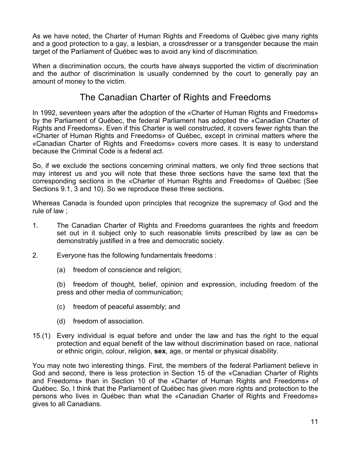As we have noted, the Charter of Human Rights and Freedoms of Québec give many rights and a good protection to a gay, a lesbian, a crossdresser or a transgender because the main target of the Parliament of Québec was to avoid any kind of discrimination.

When a discrimination occurs, the courts have always supported the victim of discrimination and the author of discrimination is usually condemned by the court to generally pay an amount of money to the victim.

### The Canadian Charter of Rights and Freedoms

In 1992, seventeen years after the adoption of the «Charter of Human Rights and Freedoms» by the Parliament of Québec, the federal Parliament has adopted the «Canadian Charter of Rights and Freedoms». Even if this Charter is well constructed, it covers fewer rights than the «Charter of Human Rights and Freedoms» of Québec, except in criminal matters where the «Canadian Charter of Rights and Freedoms» covers more cases. It is easy to understand because the Criminal Code is a federal act.

So, if we exclude the sections concerning criminal matters, we only find three sections that may interest us and you will note that these three sections have the same text that the corresponding sections in the «Charter of Human Rights and Freedoms» of Québec (See Sections 9.1, 3 and 10). So we reproduce these three sections.

Whereas Canada is founded upon principles that recognize the supremacy of God and the rule of law ;

- 1. The Canadian Charter of Rights and Freedoms guarantees the rights and freedom set out in it subject only to such reasonable limits prescribed by law as can be demonstrably justified in a free and democratic society.
- 2. Everyone has the following fundamentals freedoms :
	- (a) freedom of conscience and religion;

(b) freedom of thought, belief, opinion and expression, including freedom of the press and other media of communication;

- (c) freedom of peaceful assembly; and
- (d) freedom of association.
- 15.(1) Every individual is equal before and under the law and has the right to the equal protection and equal benefit of the law without discrimination based on race, national or ethnic origin, colour, religion, **sex**, age, or mental or physical disability.

You may note two interesting things. First, the members of the federal Parliament believe in God and second, there is less protection in Section 15 of the «Canadian Charter of Rights and Freedoms» than in Section 10 of the «Charter of Human Rights and Freedoms» of Québec. So, I think that the Parliament of Québec has given more rights and protection to the persons who lives in Québec than what the «Canadian Charter of Rights and Freedoms» gives to all Canadians.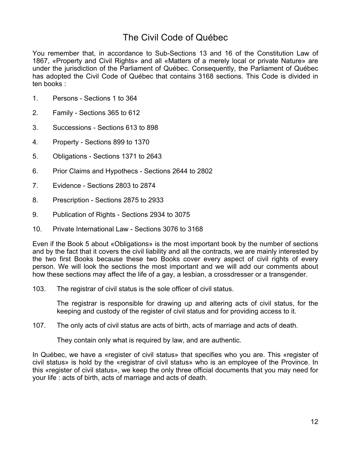# The Civil Code of Québec

You remember that, in accordance to Sub-Sections 13 and 16 of the Constitution Law of 1867, «Property and Civil Rights» and all «Matters of a merely local or private Nature» are under the jurisdiction of the Parliament of Québec. Consequently, the Parliament of Québec has adopted the Civil Code of Québec that contains 3168 sections. This Code is divided in ten books :

- 1. Persons Sections 1 to 364
- 2. Family Sections 365 to 612
- 3. Successions Sections 613 to 898
- 4. Property Sections 899 to 1370
- 5. Obligations Sections 1371 to 2643
- 6. Prior Claims and Hypothecs Sections 2644 to 2802
- 7. Evidence Sections 2803 to 2874
- 8. Prescription Sections 2875 to 2933
- 9. Publication of Rights Sections 2934 to 3075
- 10. Private International Law Sections 3076 to 3168

Even if the Book 5 about «Obligations» is the most important book by the number of sections and by the fact that it covers the civil liability and all the contracts, we are mainly interested by the two first Books because these two Books cover every aspect of civil rights of every person. We will look the sections the most important and we will add our comments about how these sections may affect the life of a gay, a lesbian, a crossdresser or a transgender.

103. The registrar of civil status is the sole officer of civil status.

The registrar is responsible for drawing up and altering acts of civil status, for the keeping and custody of the register of civil status and for providing access to it.

107. The only acts of civil status are acts of birth, acts of marriage and acts of death.

They contain only what is required by law, and are authentic.

In Québec, we have a «register of civil status» that specifies who you are. This «register of civil status» is hold by the «registrar of civil status» who is an employee of the Province. In this «register of civil status», we keep the only three official documents that you may need for your life : acts of birth, acts of marriage and acts of death.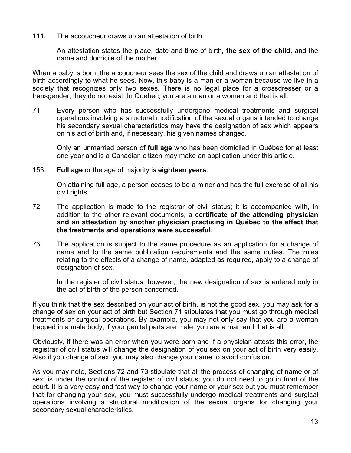111. The accoucheur draws up an attestation of birth.

An attestation states the place, date and time of birth, **the sex of the child**, and the name and domicile of the mother.

When a baby is born, the accoucheur sees the sex of the child and draws up an attestation of birth accordingly to what he sees. Now, this baby is a man or a woman because we live in a society that recognizes only two sexes. There is no legal place for a crossdresser or a transgender; they do not exist. In Québec, you are a man or a woman and that is all.

71. Every person who has successfully undergone medical treatments and surgical operations involving a structural modification of the sexual organs intended to change his secondary sexual characteristics may have the designation of sex which appears on his act of birth and, if necessary, his given names changed.

Only an unmarried person of **full age** who has been domiciled in Québec for at least one year and is a Canadian citizen may make an application under this article.

153. **Full age** or the age of majority is **eighteen years**.

On attaining full age, a person ceases to be a minor and has the full exercise of all his civil rights.

- 72. The application is made to the registrar of civil status; it is accompanied with, in addition to the other relevant documents, a **certificate of the attending physician and an attestation by another physician practising in Québec to the effect that the treatments and operations were successful**.
- 73. The application is subject to the same procedure as an application for a change of name and to the same publication requirements and the same duties. The rules relating to the effects of a change of name, adapted as required, apply to a change of designation of sex.

In the register of civil status, however, the new designation of sex is entered only in the act of birth of the person concerned.

If you think that the sex described on your act of birth, is not the good sex, you may ask for a change of sex on your act of birth but Section 71 stipulates that you must go through medical treatments or surgical operations. By example, you may not only say that you are a woman trapped in a male body; if your genital parts are male, you are a man and that is all.

Obviously, if there was an error when you were born and if a physician attests this error, the registrar of civil status will change the designation of you sex on your act of birth very easily. Also if you change of sex, you may also change your name to avoid confusion.

As you may note, Sections 72 and 73 stipulate that all the process of changing of name or of sex, is under the control of the register of civil status; you do not need to go in front of the court. It is a very easy and fast way to change your name or your sex but you must remember that for changing your sex, you must successfully undergo medical treatments and surgical operations involving a structural modification of the sexual organs for changing your secondary sexual characteristics.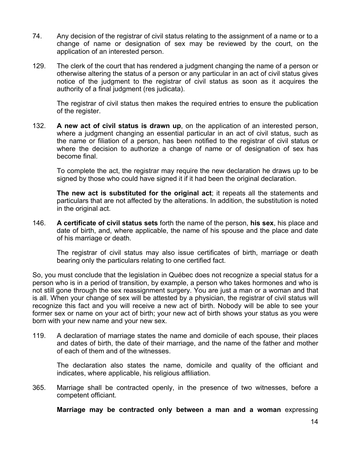- 74. Any decision of the registrar of civil status relating to the assignment of a name or to a change of name or designation of sex may be reviewed by the court, on the application of an interested person.
- 129. The clerk of the court that has rendered a judgment changing the name of a person or otherwise altering the status of a person or any particular in an act of civil status gives notice of the judgment to the registrar of civil status as soon as it acquires the authority of a final judgment (res judicata).

The registrar of civil status then makes the required entries to ensure the publication of the register.

132. **A new act of civil status is drawn up**, on the application of an interested person, where a judgment changing an essential particular in an act of civil status, such as the name or filiation of a person, has been notified to the registrar of civil status or where the decision to authorize a change of name or of designation of sex has become final.

To complete the act, the registrar may require the new declaration he draws up to be signed by those who could have signed it if it had been the original declaration.

**The new act is substituted for the original act**; it repeats all the statements and particulars that are not affected by the alterations. In addition, the substitution is noted in the original act.

146. **A certificate of civil status sets** forth the name of the person, **his sex**, his place and date of birth, and, where applicable, the name of his spouse and the place and date of his marriage or death.

The registrar of civil status may also issue certificates of birth, marriage or death bearing only the particulars relating to one certified fact.

So, you must conclude that the legislation in Québec does not recognize a special status for a person who is in a period of transition, by example, a person who takes hormones and who is not still gone through the sex reassignment surgery. You are just a man or a woman and that is all. When your change of sex will be attested by a physician, the registrar of civil status will recognize this fact and you will receive a new act of birth. Nobody will be able to see your former sex or name on your act of birth; your new act of birth shows your status as you were born with your new name and your new sex.

119. A declaration of marriage states the name and domicile of each spouse, their places and dates of birth, the date of their marriage, and the name of the father and mother of each of them and of the witnesses.

The declaration also states the name, domicile and quality of the officiant and indicates, where applicable, his religious affiliation.

365. Marriage shall be contracted openly, in the presence of two witnesses, before a competent officiant.

**Marriage may be contracted only between a man and a woman** expressing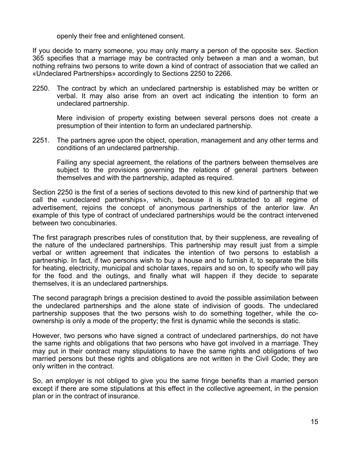openly their free and enlightened consent.

If you decide to marry someone, you may only marry a person of the opposite sex. Section 365 specifies that a marriage may be contracted only between a man and a woman, but nothing refrains two persons to write down a kind of contract of association that we called an «Undeclared Partnerships» accordingly to Sections 2250 to 2266.

2250. The contract by which an undeclared partnership is established may be written or verbal. It may also arise from an overt act indicating the intention to form an undeclared partnership.

Mere indivision of property existing between several persons does not create a presumption of their intention to form an undeclared partnership.

2251. The partners agree upon the object, operation, management and any other terms and conditions of an undeclared partnership.

Failing any special agreement, the relations of the partners between themselves are subject to the provisions governing the relations of general partners between themselves and with the partnership, adapted as required.

Section 2250 is the first of a series of sections devoted to this new kind of partnership that we call the «undeclared partnerships», which, because it is subtracted to all regime of advertisement, rejoins the concept of anonymous partnerships of the anterior law. An example of this type of contract of undeclared partnerships would be the contract intervened between two concubinaries.

The first paragraph prescribes rules of constitution that, by their suppleness, are revealing of the nature of the undeclared partnerships. This partnership may result just from a simple verbal or written agreement that indicates the intention of two persons to establish a partnership. In fact, if two persons wish to buy a house and to furnish it, to separate the bills for heating, electricity, municipal and scholar taxes, repairs and so on, to specify who will pay for the food and the outings, and finally what will happen if they decide to separate themselves, it is an undeclared partnerships.

The second paragraph brings a precision destined to avoid the possible assimilation between the undeclared partnerships and the alone state of indivision of goods. The undeclared partnership supposes that the two persons wish to do something together, while the coownership is only a mode of the property; the first is dynamic while the seconds is static.

However, two persons who have signed a contract of undeclared partnerships, do not have the same rights and obligations that two persons who have got involved in a marriage. They may put in their contract many stipulations to have the same rights and obligations of two married persons but these rights and obligations are not written in the Civil Code; they are only written in the contract.

So, an employer is not obliged to give you the same fringe benefits than a married person except if there are some stipulations at this effect in the collective agreement, in the pension plan or in the contract of insurance.